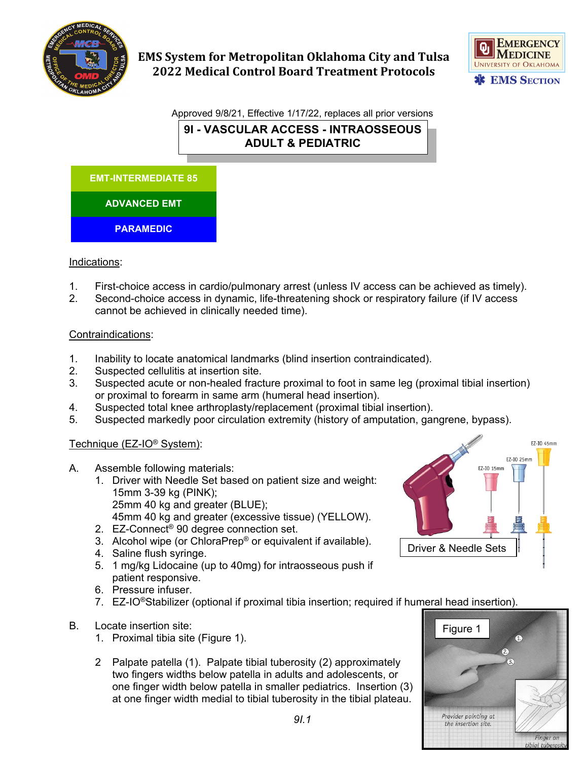



Approved 9/8/21, Effective 1/17/22, replaces all prior versions **9I - VASCULAR ACCESS - INTRAOSSEOUS ADULT & PEDIATRIC**



## Indications:

- 1. First-choice access in cardio/pulmonary arrest (unless IV access can be achieved as timely).
- 2. Second-choice access in dynamic, life-threatening shock or respiratory failure (if IV access cannot be achieved in clinically needed time).

### Contraindications:

- 1. Inability to locate anatomical landmarks (blind insertion contraindicated).
- 2. Suspected cellulitis at insertion site.
- 3. Suspected acute or non-healed fracture proximal to foot in same leg (proximal tibial insertion) or proximal to forearm in same arm (humeral head insertion).
- 4. Suspected total knee arthroplasty/replacement (proximal tibial insertion).
- 5. Suspected markedly poor circulation extremity (history of amputation, gangrene, bypass).

## Technique (EZ-IO® System):

- A. Assemble following materials:
	- 1. Driver with Needle Set based on patient size and weight: 15mm 3-39 kg (PINK); 25mm 40 kg and greater (BLUE); 45mm 40 kg and greater (excessive tissue) (YELLOW).
	- 2. EZ-Connect® 90 degree connection set.
	- 3. Alcohol wipe (or ChloraPrep® or equivalent if available).
	- 4. Saline flush syringe.
	- 5. 1 mg/kg Lidocaine (up to 40mg) for intraosseous push if patient responsive.
	- 6. Pressure infuser.
	- 7. EZ-IO<sup>®</sup>Stabilizer (optional if proximal tibia insertion; required if humeral head insertion).
- B. Locate insertion site:
	- 1. Proximal tibia site (Figure 1).
	- 2 Palpate patella (1). Palpate tibial tuberosity (2) approximately two fingers widths below patella in adults and adolescents, or one finger width below patella in smaller pediatrics. Insertion (3) at one finger width medial to tibial tuberosity in the tibial plateau.



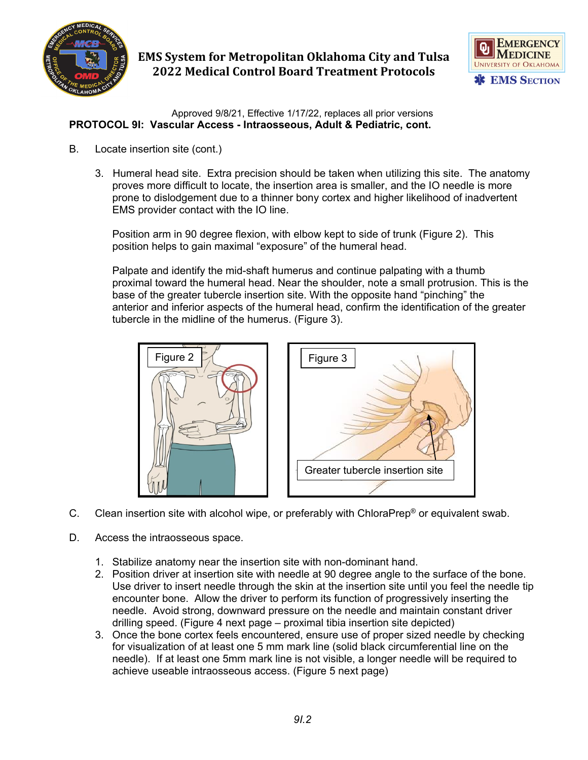



Approved 9/8/21, Effective 1/17/22, replaces all prior versions **PROTOCOL 9I: Vascular Access - Intraosseous, Adult & Pediatric, cont.**

- B. Locate insertion site (cont.)
	- 3. Humeral head site. Extra precision should be taken when utilizing this site. The anatomy proves more difficult to locate, the insertion area is smaller, and the IO needle is more prone to dislodgement due to a thinner bony cortex and higher likelihood of inadvertent EMS provider contact with the IO line.

Position arm in 90 degree flexion, with elbow kept to side of trunk (Figure 2). This position helps to gain maximal "exposure" of the humeral head.

Palpate and identify the mid-shaft humerus and continue palpating with a thumb proximal toward the humeral head. Near the shoulder, note a small protrusion. This is the base of the greater tubercle insertion site. With the opposite hand "pinching" the anterior and inferior aspects of the humeral head, confirm the identification of the greater tubercle in the midline of the humerus. (Figure 3).



- C. Clean insertion site with alcohol wipe, or preferably with ChloraPrep® or equivalent swab.
- D. Access the intraosseous space.
	- 1. Stabilize anatomy near the insertion site with non-dominant hand.
	- 2. Position driver at insertion site with needle at 90 degree angle to the surface of the bone. Use driver to insert needle through the skin at the insertion site until you feel the needle tip encounter bone. Allow the driver to perform its function of progressively inserting the needle. Avoid strong, downward pressure on the needle and maintain constant driver drilling speed. (Figure 4 next page – proximal tibia insertion site depicted)
	- 3. Once the bone cortex feels encountered, ensure use of proper sized needle by checking for visualization of at least one 5 mm mark line (solid black circumferential line on the needle). If at least one 5mm mark line is not visible, a longer needle will be required to achieve useable intraosseous access. (Figure 5 next page)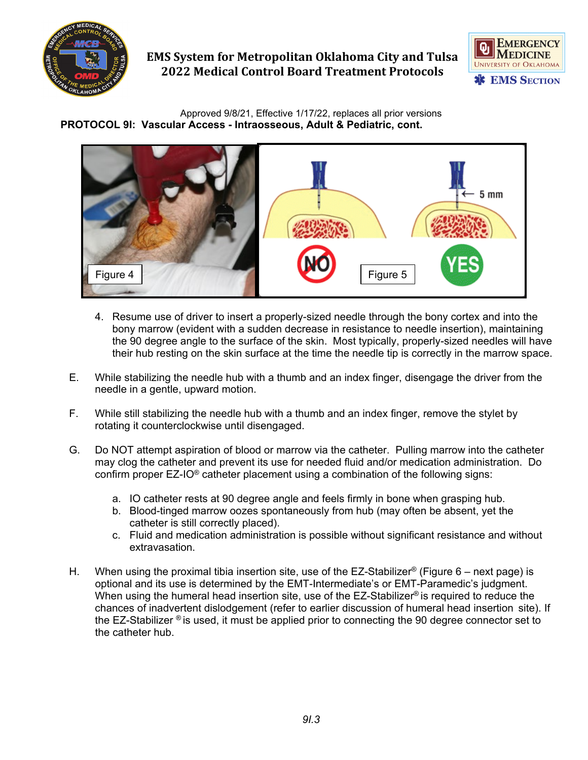



Approved 9/8/21, Effective 1/17/22, replaces all prior versions **PROTOCOL 9I: Vascular Access - Intraosseous, Adult & Pediatric, cont.**



- 4. Resume use of driver to insert a properly-sized needle through the bony cortex and into the bony marrow (evident with a sudden decrease in resistance to needle insertion), maintaining the 90 degree angle to the surface of the skin. Most typically, properly-sized needles will have their hub resting on the skin surface at the time the needle tip is correctly in the marrow space.
- E. While stabilizing the needle hub with a thumb and an index finger, disengage the driver from the needle in a gentle, upward motion.
- F. While still stabilizing the needle hub with a thumb and an index finger, remove the stylet by rotating it counterclockwise until disengaged.
- G. Do NOT attempt aspiration of blood or marrow via the catheter. Pulling marrow into the catheter may clog the catheter and prevent its use for needed fluid and/or medication administration. Do confirm proper EZ-IO® catheter placement using a combination of the following signs:
	- a. IO catheter rests at 90 degree angle and feels firmly in bone when grasping hub.
	- b. Blood-tinged marrow oozes spontaneously from hub (may often be absent, yet the catheter is still correctly placed).
	- c. Fluid and medication administration is possible without significant resistance and without extravasation.
- H. When using the proximal tibia insertion site, use of the EZ-Stabilizer<sup>®</sup> (Figure 6 next page) is optional and its use is determined by the EMT-Intermediate's or EMT-Paramedic's judgment. When using the humeral head insertion site, use of the  $EZ\text{-}Stabilizer<sup>®</sup>$  is required to reduce the chances of inadvertent dislodgement (refer to earlier discussion of humeral head insertion site). If the EZ-Stabilizer ® is used, it must be applied prior to connecting the 90 degree connector set to the catheter hub.